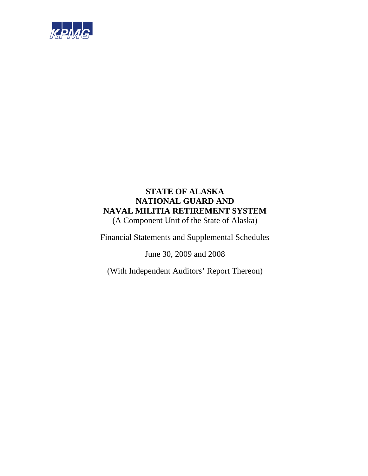

# **STATE OF ALASKA NATIONAL GUARD AND NAVAL MILITIA RETIREMENT SYSTEM**  (A Component Unit of the State of Alaska)

Financial Statements and Supplemental Schedules

June 30, 2009 and 2008

(With Independent Auditors' Report Thereon)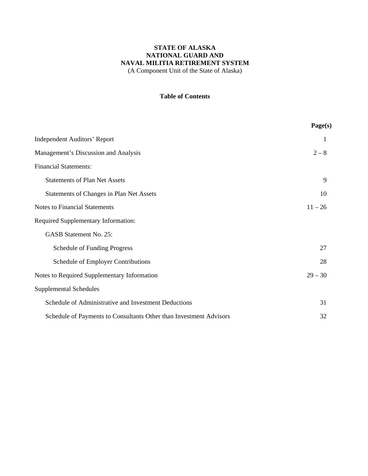(A Component Unit of the State of Alaska)

## **Table of Contents**

|                                                                    | Page(s)   |
|--------------------------------------------------------------------|-----------|
| <b>Independent Auditors' Report</b>                                | 1         |
| Management's Discussion and Analysis                               | $2 - 8$   |
| <b>Financial Statements:</b>                                       |           |
| <b>Statements of Plan Net Assets</b>                               | 9         |
| Statements of Changes in Plan Net Assets                           | 10        |
| <b>Notes to Financial Statements</b>                               | $11 - 26$ |
| <b>Required Supplementary Information:</b>                         |           |
| <b>GASB Statement No. 25:</b>                                      |           |
| <b>Schedule of Funding Progress</b>                                | 27        |
| Schedule of Employer Contributions                                 | 28        |
| Notes to Required Supplementary Information                        | $29 - 30$ |
| <b>Supplemental Schedules</b>                                      |           |
| Schedule of Administrative and Investment Deductions               | 31        |
| Schedule of Payments to Consultants Other than Investment Advisors | 32        |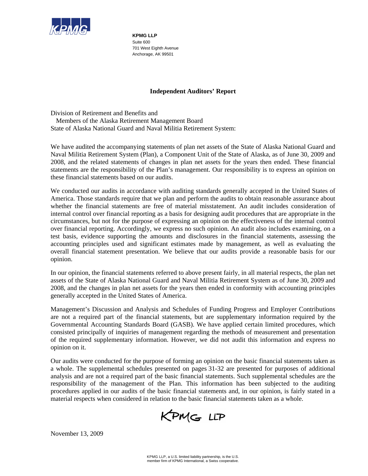

**KPMG LLP**  Suite 600 701 West Eighth Avenue Anchorage, AK 99501

## **Independent Auditors' Report**

Division of Retirement and Benefits and Members of the Alaska Retirement Management Board State of Alaska National Guard and Naval Militia Retirement System:

We have audited the accompanying statements of plan net assets of the State of Alaska National Guard and Naval Militia Retirement System (Plan), a Component Unit of the State of Alaska, as of June 30, 2009 and 2008, and the related statements of changes in plan net assets for the years then ended. These financial statements are the responsibility of the Plan's management. Our responsibility is to express an opinion on these financial statements based on our audits.

We conducted our audits in accordance with auditing standards generally accepted in the United States of America. Those standards require that we plan and perform the audits to obtain reasonable assurance about whether the financial statements are free of material misstatement. An audit includes consideration of internal control over financial reporting as a basis for designing audit procedures that are appropriate in the circumstances, but not for the purpose of expressing an opinion on the effectiveness of the internal control over financial reporting. Accordingly, we express no such opinion. An audit also includes examining, on a test basis, evidence supporting the amounts and disclosures in the financial statements, assessing the accounting principles used and significant estimates made by management, as well as evaluating the overall financial statement presentation. We believe that our audits provide a reasonable basis for our opinion.

In our opinion, the financial statements referred to above present fairly, in all material respects, the plan net assets of the State of Alaska National Guard and Naval Militia Retirement System as of June 30, 2009 and 2008, and the changes in plan net assets for the years then ended in conformity with accounting principles generally accepted in the United States of America.

Management's Discussion and Analysis and Schedules of Funding Progress and Employer Contributions are not a required part of the financial statements, but are supplementary information required by the Governmental Accounting Standards Board (GASB). We have applied certain limited procedures, which consisted principally of inquiries of management regarding the methods of measurement and presentation of the required supplementary information. However, we did not audit this information and express no opinion on it.

Our audits were conducted for the purpose of forming an opinion on the basic financial statements taken as a whole. The supplemental schedules presented on pages 31-32 are presented for purposes of additional analysis and are not a required part of the basic financial statements. Such supplemental schedules are the responsibility of the management of the Plan. This information has been subjected to the auditing procedures applied in our audits of the basic financial statements and, in our opinion, is fairly stated in a material respects when considered in relation to the basic financial statements taken as a whole.

KPMG LLP

November 13, 2009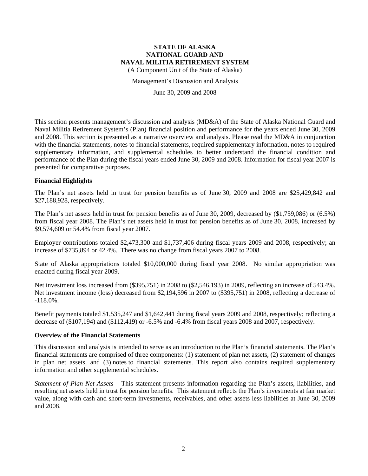(A Component Unit of the State of Alaska)

Management's Discussion and Analysis

June 30, 2009 and 2008

This section presents management's discussion and analysis (MD&A) of the State of Alaska National Guard and Naval Militia Retirement System's (Plan) financial position and performance for the years ended June 30, 2009 and 2008. This section is presented as a narrative overview and analysis. Please read the MD&A in conjunction with the financial statements, notes to financial statements, required supplementary information, notes to required supplementary information, and supplemental schedules to better understand the financial condition and performance of the Plan during the fiscal years ended June 30, 2009 and 2008. Information for fiscal year 2007 is presented for comparative purposes.

### **Financial Highlights**

The Plan's net assets held in trust for pension benefits as of June 30, 2009 and 2008 are \$25,429,842 and \$27,188,928, respectively.

The Plan's net assets held in trust for pension benefits as of June 30, 2009, decreased by (\$1,759,086) or (6.5%) from fiscal year 2008. The Plan's net assets held in trust for pension benefits as of June 30, 2008, increased by \$9,574,609 or 54.4% from fiscal year 2007.

Employer contributions totaled \$2,473,300 and \$1,737,406 during fiscal years 2009 and 2008, respectively; an increase of \$735,894 or 42.4%. There was no change from fiscal years 2007 to 2008.

State of Alaska appropriations totaled \$10,000,000 during fiscal year 2008. No similar appropriation was enacted during fiscal year 2009.

Net investment loss increased from (\$395,751) in 2008 to (\$2,546,193) in 2009, reflecting an increase of 543.4%. Net investment income (loss) decreased from \$2,194,596 in 2007 to (\$395,751) in 2008, reflecting a decrease of  $-118.0\%$ .

Benefit payments totaled \$1,535,247 and \$1,642,441 during fiscal years 2009 and 2008, respectively; reflecting a decrease of (\$107,194) and (\$112,419) or -6.5% and -6.4% from fiscal years 2008 and 2007, respectively.

#### **Overview of the Financial Statements**

This discussion and analysis is intended to serve as an introduction to the Plan's financial statements. The Plan's financial statements are comprised of three components: (1) statement of plan net assets, (2) statement of changes in plan net assets, and (3) notes to financial statements. This report also contains required supplementary information and other supplemental schedules.

*Statement of Plan Net Assets* – This statement presents information regarding the Plan's assets, liabilities, and resulting net assets held in trust for pension benefits. This statement reflects the Plan's investments at fair market value, along with cash and short-term investments, receivables, and other assets less liabilities at June 30, 2009 and 2008.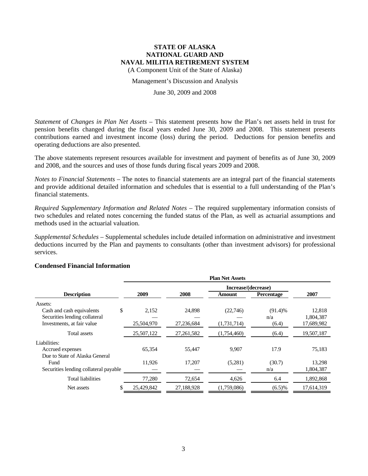(A Component Unit of the State of Alaska)

#### Management's Discussion and Analysis

#### June 30, 2009 and 2008

*Statement* of *Changes in Plan Net Assets* – This statement presents how the Plan's net assets held in trust for pension benefits changed during the fiscal years ended June 30, 2009 and 2008. This statement presents contributions earned and investment income (loss) during the period. Deductions for pension benefits and operating deductions are also presented.

The above statements represent resources available for investment and payment of benefits as of June 30, 2009 and 2008, and the sources and uses of those funds during fiscal years 2009 and 2008.

*Notes to Financial Statements* – The notes to financial statements are an integral part of the financial statements and provide additional detailed information and schedules that is essential to a full understanding of the Plan's financial statements.

*Required Supplementary Information and Related Notes* – The required supplementary information consists of two schedules and related notes concerning the funded status of the Plan, as well as actuarial assumptions and methods used in the actuarial valuation.

*Supplemental Schedules* – Supplemental schedules include detailed information on administrative and investment deductions incurred by the Plan and payments to consultants (other than investment advisors) for professional services.

|                                       | <b>Plan Net Assets</b> |              |                     |            |            |  |  |
|---------------------------------------|------------------------|--------------|---------------------|------------|------------|--|--|
|                                       |                        |              | Increase/(decrease) |            |            |  |  |
| <b>Description</b>                    | 2009                   | 2008         | Amount              | Percentage | 2007       |  |  |
| Assets:                               |                        |              |                     |            |            |  |  |
| \$<br>Cash and cash equivalents       | 2,152                  | 24,898       | (22,746)            | (91.4)%    | 12,818     |  |  |
| Securities lending collateral         |                        |              |                     | n/a        | 1,804,387  |  |  |
| Investments, at fair value            | 25,504,970             | 27,236,684   | (1,731,714)         | (6.4)      | 17,689,982 |  |  |
| Total assets                          | 25,507,122             | 27, 261, 582 | (1,754,460)         | (6.4)      | 19,507,187 |  |  |
| Liabilities:                          |                        |              |                     |            |            |  |  |
| Accrued expenses                      | 65,354                 | 55,447       | 9,907               | 17.9       | 75,183     |  |  |
| Due to State of Alaska General        |                        |              |                     |            |            |  |  |
| Fund                                  | 11,926                 | 17,207       | (5,281)             | (30.7)     | 13,298     |  |  |
| Securities lending collateral payable |                        |              |                     | n/a        | 1,804,387  |  |  |
| <b>Total liabilities</b>              | 77,280                 | 72,654       | 4,626               | 6.4        | 1,892,868  |  |  |
| Net assets                            | 25,429,842             | 27,188,928   | (1,759,086)         | $(6.5)\%$  | 17,614,319 |  |  |

#### **Condensed Financial Information**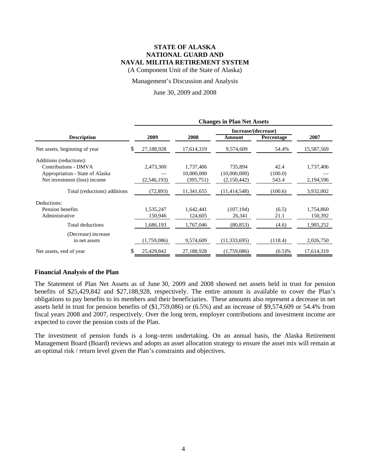(A Component Unit of the State of Alaska)

Management's Discussion and Analysis

### June 30, 2009 and 2008

|                                 | <b>Changes in Plan Net Assets</b> |               |            |                     |            |            |  |
|---------------------------------|-----------------------------------|---------------|------------|---------------------|------------|------------|--|
|                                 |                                   |               |            | Increase/(decrease) |            |            |  |
| <b>Description</b>              |                                   | 2009          | 2008       | Amount              | Percentage | 2007       |  |
| Net assets, beginning of year   | \$                                | 27,188,928    | 17,614,319 | 9,574,609           | 54.4%      | 15,587,569 |  |
| Additions (reductions):         |                                   |               |            |                     |            |            |  |
| Contributions - DMVA            |                                   | 2,473,300     | 1,737,406  | 735,894             | 42.4       | 1,737,406  |  |
| Appropriation - State of Alaska |                                   |               | 10,000,000 | (10,000,000)        | (100.0)    |            |  |
| Net investment (loss) income    |                                   | (2, 546, 193) | (395,751)  | (2,150,442)         | 543.4      | 2,194,596  |  |
| Total (reductions) additions    |                                   | (72, 893)     | 11,341,655 | (11, 414, 548)      | (100.6)    | 3,932,002  |  |
| Deductions:                     |                                   |               |            |                     |            |            |  |
| Pension benefits                |                                   | 1,535,247     | 1,642,441  | (107, 194)          | (6.5)      | 1,754,860  |  |
| Administrative                  |                                   | 150,946       | 124,605    | 26,341              | 21.1       | 150,392    |  |
| Total deductions                |                                   | 1,686,193     | 1,767,046  | (80, 853)           | (4.6)      | 1,905,252  |  |
| (Decrease) increase             |                                   |               |            |                     |            |            |  |
| in net assets                   |                                   | (1,759,086)   | 9,574,609  | (11, 333, 695)      | (118.4)    | 2,026,750  |  |
| Net assets, end of year         | S                                 | 25,429,842    | 27,188,928 | (1,759,086)         | (6.5)%     | 17,614,319 |  |

#### **Financial Analysis of the Plan**

The Statement of Plan Net Assets as of June 30, 2009 and 2008 showed net assets held in trust for pension benefits of \$25,429,842 and \$27,188,928, respectively. The entire amount is available to cover the Plan's obligations to pay benefits to its members and their beneficiaries. These amounts also represent a decrease in net assets held in trust for pension benefits of (\$1,759,086) or (6.5%) and an increase of \$9,574,609 or 54.4% from fiscal years 2008 and 2007, respectively. Over the long term, employer contributions and investment income are expected to cover the pension costs of the Plan.

The investment of pension funds is a long–term undertaking. On an annual basis, the Alaska Retirement Management Board (Board) reviews and adopts an asset allocation strategy to ensure the asset mix will remain at an optimal risk / return level given the Plan's constraints and objectives.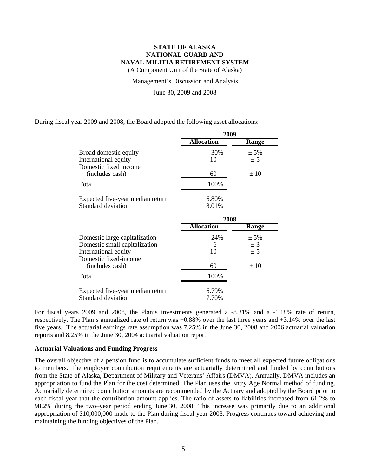(A Component Unit of the State of Alaska)

Management's Discussion and Analysis

June 30, 2009 and 2008

During fiscal year 2009 and 2008, the Board adopted the following asset allocations:

Standard deviation 7.70%

|                                  | 2009              |              |  |  |
|----------------------------------|-------------------|--------------|--|--|
|                                  | <b>Allocation</b> | Range        |  |  |
| Broad domestic equity            | 30%               | $± 5\%$      |  |  |
| International equity             | 10                | ± 5          |  |  |
| Domestic fixed income            |                   |              |  |  |
| (includes cash)                  | 60                | ±10          |  |  |
| Total                            | 100%              |              |  |  |
| Expected five-year median return | 6.80%             |              |  |  |
| <b>Standard deviation</b>        | 8.01%             |              |  |  |
|                                  | 2008              |              |  |  |
|                                  | <b>Allocation</b> | <b>Range</b> |  |  |
| Domestic large capitalization    | 24%               | $± 5\%$      |  |  |
| Domestic small capitalization    | 6                 | ± 3          |  |  |
| International equity             | 10                | ± 5          |  |  |
| Domestic fixed-income            |                   |              |  |  |
| (includes cash)                  | 60                | ±10          |  |  |
| Total                            | 100%              |              |  |  |
| Expected five-year median return | 6.79%             |              |  |  |

For fiscal years 2009 and 2008, the Plan's investments generated a -8.31% and a -1.18% rate of return, respectively. The Plan's annualized rate of return was +0.88% over the last three years and +3.14% over the last five years. The actuarial earnings rate assumption was 7.25% in the June 30, 2008 and 2006 actuarial valuation reports and 8.25% in the June 30, 2004 actuarial valuation report.

#### **Actuarial Valuations and Funding Progress**

The overall objective of a pension fund is to accumulate sufficient funds to meet all expected future obligations to members. The employer contribution requirements are actuarially determined and funded by contributions from the State of Alaska, Department of Military and Veterans' Affairs (DMVA). Annually, DMVA includes an appropriation to fund the Plan for the cost determined. The Plan uses the Entry Age Normal method of funding. Actuarially determined contribution amounts are recommended by the Actuary and adopted by the Board prior to each fiscal year that the contribution amount applies. The ratio of assets to liabilities increased from 61.2% to 98.2% during the two–year period ending June 30, 2008. This increase was primarily due to an additional appropriation of \$10,000,000 made to the Plan during fiscal year 2008. Progress continues toward achieving and maintaining the funding objectives of the Plan.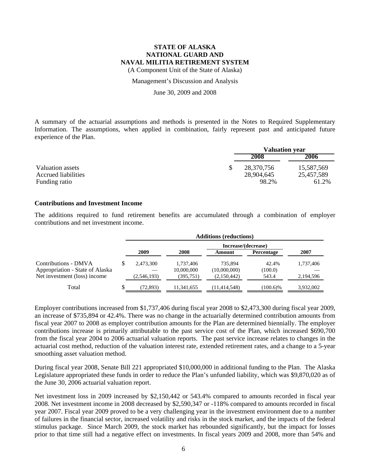(A Component Unit of the State of Alaska)

Management's Discussion and Analysis

June 30, 2009 and 2008

A summary of the actuarial assumptions and methods is presented in the Notes to Required Supplementary Information. The assumptions, when applied in combination, fairly represent past and anticipated future experience of the Plan.

|                                                | <b>Valuation year</b>    |                          |  |
|------------------------------------------------|--------------------------|--------------------------|--|
|                                                | 2008<br>2006             |                          |  |
| Valuation assets<br><b>Accrued liabilities</b> | 28,370,756<br>28,904,645 | 15,587,569<br>25,457,589 |  |
| Funding ratio                                  | 98.2%                    | 61.2%                    |  |

### **Contributions and Investment Income**

The additions required to fund retirement benefits are accumulated through a combination of employer contributions and net investment income.

|                                 |   | <b>Additions (reductions)</b> |            |                     |                   |           |  |
|---------------------------------|---|-------------------------------|------------|---------------------|-------------------|-----------|--|
|                                 |   |                               |            | Increase/(decrease) |                   |           |  |
|                                 |   | 2009                          | 2008       | Amount              | <b>Percentage</b> | 2007      |  |
| Contributions - DMVA            |   | 2.473.300                     | 1.737.406  | 735.894             | 42.4%             | 1,737,406 |  |
| Appropriation - State of Alaska |   |                               | 10,000,000 | (10,000,000)        | (100.0)           |           |  |
| Net investment (loss) income    |   | (2,546,193)                   | (395, 751) | (2,150,442)         | 543.4             | 2,194,596 |  |
| Total                           | J | (72.893)                      | 11,341,655 | (11, 414, 548)      | $(100.6)\%$       | 3,932,002 |  |

Employer contributions increased from \$1,737,406 during fiscal year 2008 to \$2,473,300 during fiscal year 2009, an increase of \$735,894 or 42.4%. There was no change in the actuarially determined contribution amounts from fiscal year 2007 to 2008 as employer contribution amounts for the Plan are determined biennially. The employer contributions increase is primarily attributable to the past service cost of the Plan, which increased \$690,700 from the fiscal year 2004 to 2006 actuarial valuation reports. The past service increase relates to changes in the actuarial cost method, reduction of the valuation interest rate, extended retirement rates, and a change to a 5-year smoothing asset valuation method.

During fiscal year 2008, Senate Bill 221 appropriated \$10,000,000 in additional funding to the Plan. The Alaska Legislature appropriated these funds in order to reduce the Plan's unfunded liability, which was \$9,870,020 as of the June 30, 2006 actuarial valuation report.

Net investment loss in 2009 increased by \$2,150,442 or 543.4% compared to amounts recorded in fiscal year 2008. Net investment income in 2008 decreased by \$2,590,347 or -118% compared to amounts recorded in fiscal year 2007. Fiscal year 2009 proved to be a very challenging year in the investment environment due to a number of failures in the financial sector, increased volatility and risks in the stock market, and the impacts of the federal stimulus package. Since March 2009, the stock market has rebounded significantly, but the impact for losses prior to that time still had a negative effect on investments. In fiscal years 2009 and 2008, more than 54% and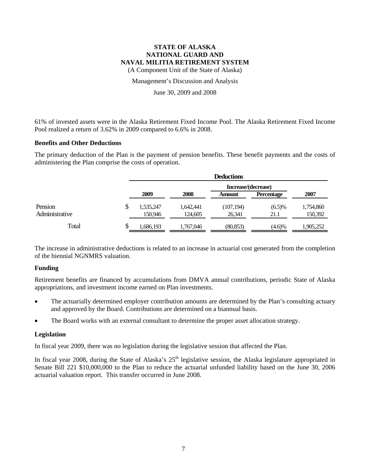(A Component Unit of the State of Alaska)

Management's Discussion and Analysis

June 30, 2009 and 2008

61% of invested assets were in the Alaska Retirement Fixed Income Pool. The Alaska Retirement Fixed Income Pool realized a return of 3.62% in 2009 compared to 6.6% in 2008.

#### **Benefits and Other Deductions**

The primary deduction of the Plan is the payment of pension benefits. These benefit payments and the costs of administering the Plan comprise the costs of operation.

|                |    | <b>Deductions</b> |                     |            |                   |           |  |  |
|----------------|----|-------------------|---------------------|------------|-------------------|-----------|--|--|
|                |    |                   | Increase/(decrease) |            |                   |           |  |  |
|                |    | 2009              | 2008                | Amount     | <b>Percentage</b> | 2007      |  |  |
| Pension        | S  | 1,535,247         | 1,642,441           | (107, 194) | $(6.5)\%$         | 1,754,860 |  |  |
| Administrative |    | 150,946           | 124,605             | 26,341     | 21.1              | 150,392   |  |  |
| Total          | ιD | 1,686,193         | 1,767,046           | (80, 853)  | $(4.6)\%$         | 1,905,252 |  |  |

The increase in administrative deductions is related to an increase in actuarial cost generated from the completion of the biennial NGNMRS valuation.

#### **Funding**

Retirement benefits are financed by accumulations from DMVA annual contributions, periodic State of Alaska appropriations, and investment income earned on Plan investments.

- The actuarially determined employer contribution amounts are determined by the Plan's consulting actuary and approved by the Board. Contributions are determined on a biannual basis.
- The Board works with an external consultant to determine the proper asset allocation strategy.

#### **Legislation**

In fiscal year 2009, there was no legislation during the legislative session that affected the Plan.

In fiscal year 2008, during the State of Alaska's  $25<sup>th</sup>$  legislative session, the Alaska legislature appropriated in Senate Bill 221 \$10,000,000 to the Plan to reduce the actuarial unfunded liability based on the June 30, 2006 actuarial valuation report. This transfer occurred in June 2008.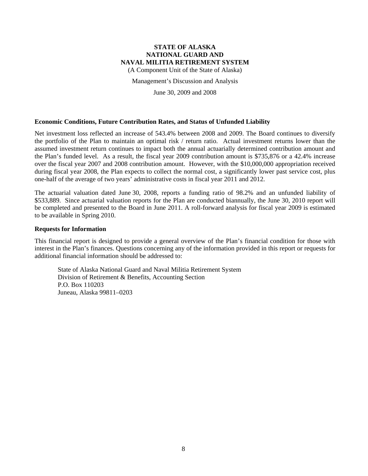(A Component Unit of the State of Alaska)

Management's Discussion and Analysis

June 30, 2009 and 2008

#### **Economic Conditions, Future Contribution Rates, and Status of Unfunded Liability**

Net investment loss reflected an increase of 543.4% between 2008 and 2009. The Board continues to diversify the portfolio of the Plan to maintain an optimal risk / return ratio. Actual investment returns lower than the assumed investment return continues to impact both the annual actuarially determined contribution amount and the Plan's funded level. As a result, the fiscal year 2009 contribution amount is \$735,876 or a 42.4% increase over the fiscal year 2007 and 2008 contribution amount. However, with the \$10,000,000 appropriation received during fiscal year 2008, the Plan expects to collect the normal cost, a significantly lower past service cost, plus one-half of the average of two years' administrative costs in fiscal year 2011 and 2012.

The actuarial valuation dated June 30, 2008, reports a funding ratio of 98.2% and an unfunded liability of \$533,889. Since actuarial valuation reports for the Plan are conducted biannually, the June 30, 2010 report will be completed and presented to the Board in June 2011. A roll-forward analysis for fiscal year 2009 is estimated to be available in Spring 2010.

#### **Requests for Information**

This financial report is designed to provide a general overview of the Plan's financial condition for those with interest in the Plan's finances. Questions concerning any of the information provided in this report or requests for additional financial information should be addressed to:

State of Alaska National Guard and Naval Militia Retirement System Division of Retirement & Benefits, Accounting Section P.O. Box 110203 Juneau, Alaska 99811–0203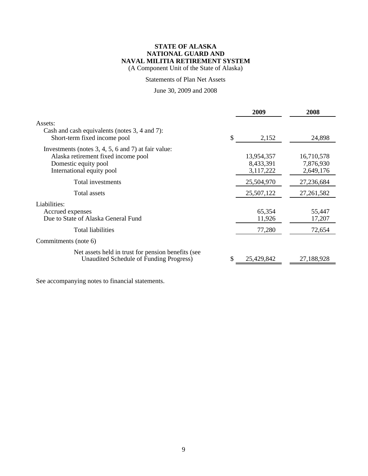(A Component Unit of the State of Alaska)

### Statements of Plan Net Assets

## June 30, 2009 and 2008

|                                                                                                                                                 | 2009                                 | 2008                                 |
|-------------------------------------------------------------------------------------------------------------------------------------------------|--------------------------------------|--------------------------------------|
| Assets:<br>Cash and cash equivalents (notes 3, 4 and 7):<br>Short-term fixed income pool                                                        | \$<br>2,152                          | 24,898                               |
| Investments (notes 3, 4, 5, 6 and 7) at fair value:<br>Alaska retirement fixed income pool<br>Domestic equity pool<br>International equity pool | 13,954,357<br>8,433,391<br>3,117,222 | 16,710,578<br>7,876,930<br>2,649,176 |
| Total investments                                                                                                                               | 25,504,970                           | 27,236,684                           |
| Total assets                                                                                                                                    | 25,507,122                           | 27, 261, 582                         |
| Liabilities:<br>Accrued expenses<br>Due to State of Alaska General Fund                                                                         | 65,354<br>11,926                     | 55,447<br>17,207                     |
| Total liabilities                                                                                                                               | 77,280                               | 72,654                               |
| Commitments (note 6)                                                                                                                            |                                      |                                      |
| Net assets held in trust for pension benefits (see<br>Unaudited Schedule of Funding Progress)                                                   | 25,429,842                           | 27,188,928                           |

See accompanying notes to financial statements.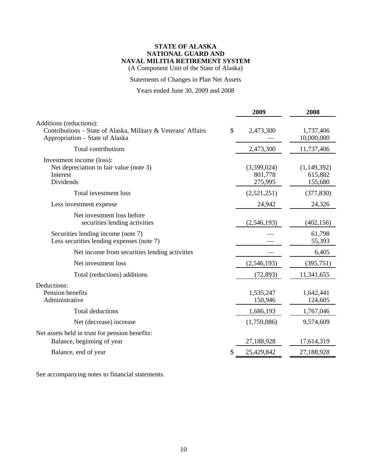(A Component Unit of the State of Alaska)

Statements of Changes in Plan Net Assets

# Years ended June 30, 2009 and 2008

|                                                                                                                             | 2009                              | 2008                              |
|-----------------------------------------------------------------------------------------------------------------------------|-----------------------------------|-----------------------------------|
| Additions (reductions):<br>Contributions – State of Alaska, Military & Veterans' Affairs<br>Appropriation – State of Alaska | \$<br>2,473,300                   | 1,737,406<br>10,000,000           |
| Total contributions                                                                                                         | 2,473,300                         | 11,737,406                        |
| Investment income (loss):<br>Net depreciation in fair value (note 3)<br>Interest<br>Dividends                               | (3,599,024)<br>801,778<br>275,995 | (1,149,392)<br>615,882<br>155,680 |
| Total investment loss                                                                                                       | (2,521,251)                       | (377, 830)                        |
| Less investment expense                                                                                                     | 24,942                            | 24,326                            |
| Net investment loss before<br>securities lending activities                                                                 | (2,546,193)                       | (402, 156)                        |
| Securities lending income (note 7)<br>Less securities lending expenses (note 7)                                             |                                   | 61,798<br>55,393                  |
| Net income from securities lending activities                                                                               |                                   | 6,405                             |
| Net investment loss                                                                                                         | (2,546,193)                       | (395,751)                         |
| Total (reductions) additions                                                                                                | (72, 893)                         | 11,341,655                        |
| Deductions:<br>Pension benefits<br>Administrative                                                                           | 1,535,247<br>150,946              | 1,642,441<br>124,605              |
| <b>Total deductions</b>                                                                                                     | 1,686,193                         | 1,767,046                         |
| Net (decrease) increase                                                                                                     | (1,759,086)                       | 9,574,609                         |
| Net assets held in trust for pension benefits:<br>Balance, beginning of year                                                | 27,188,928                        | 17,614,319                        |
| Balance, end of year                                                                                                        | 25,429,842                        | 27,188,928                        |
|                                                                                                                             |                                   |                                   |

See accompanying notes to financial statements.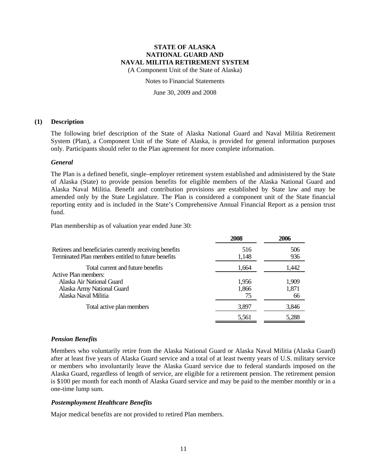(A Component Unit of the State of Alaska)

Notes to Financial Statements

June 30, 2009 and 2008

#### **(1) Description**

The following brief description of the State of Alaska National Guard and Naval Militia Retirement System (Plan), a Component Unit of the State of Alaska, is provided for general information purposes only. Participants should refer to the Plan agreement for more complete information.

### *General*

The Plan is a defined benefit, single–employer retirement system established and administered by the State of Alaska (State) to provide pension benefits for eligible members of the Alaska National Guard and Alaska Naval Militia. Benefit and contribution provisions are established by State law and may be amended only by the State Legislature. The Plan is considered a component unit of the State financial reporting entity and is included in the State's Comprehensive Annual Financial Report as a pension trust fund.

Plan membership as of valuation year ended June 30:

|                                                         | 2008  | 2006  |
|---------------------------------------------------------|-------|-------|
| Retirees and beneficiaries currently receiving benefits | 516   | 506   |
| Terminated Plan members entitled to future benefits     | 1,148 | 936   |
| Total current and future benefits                       | 1,664 | 1,442 |
| Active Plan members:                                    |       |       |
| Alaska Air National Guard                               | 1,956 | 1,909 |
| Alaska Army National Guard                              | 1,866 | 1,871 |
| Alaska Naval Militia                                    | 75    | 66    |
| Total active plan members                               | 3,897 | 3,846 |
|                                                         | 5,561 | 5,288 |
|                                                         |       |       |

### *Pension Benefits*

Members who voluntarily retire from the Alaska National Guard or Alaska Naval Militia (Alaska Guard) after at least five years of Alaska Guard service and a total of at least twenty years of U.S. military service or members who involuntarily leave the Alaska Guard service due to federal standards imposed on the Alaska Guard, regardless of length of service, are eligible for a retirement pension. The retirement pension is \$100 per month for each month of Alaska Guard service and may be paid to the member monthly or in a one-time lump sum.

### *Postemployment Healthcare Benefits*

Major medical benefits are not provided to retired Plan members.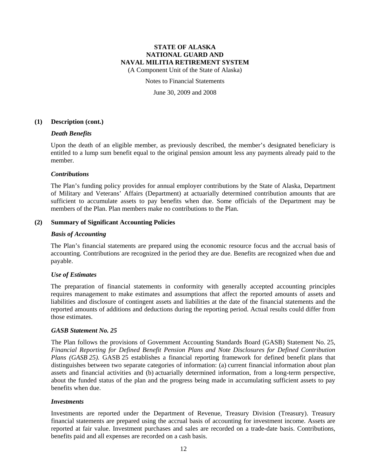(A Component Unit of the State of Alaska)

#### Notes to Financial Statements

June 30, 2009 and 2008

#### **(1) Description (cont.)**

#### *Death Benefits*

Upon the death of an eligible member, as previously described, the member's designated beneficiary is entitled to a lump sum benefit equal to the original pension amount less any payments already paid to the member.

### *Contributions*

The Plan's funding policy provides for annual employer contributions by the State of Alaska, Department of Military and Veterans' Affairs (Department) at actuarially determined contribution amounts that are sufficient to accumulate assets to pay benefits when due. Some officials of the Department may be members of the Plan. Plan members make no contributions to the Plan.

### **(2) Summary of Significant Accounting Policies**

#### *Basis of Accounting*

The Plan's financial statements are prepared using the economic resource focus and the accrual basis of accounting. Contributions are recognized in the period they are due. Benefits are recognized when due and payable.

### *Use of Estimates*

The preparation of financial statements in conformity with generally accepted accounting principles requires management to make estimates and assumptions that affect the reported amounts of assets and liabilities and disclosure of contingent assets and liabilities at the date of the financial statements and the reported amounts of additions and deductions during the reporting period. Actual results could differ from those estimates.

### *GASB Statement No. 25*

The Plan follows the provisions of Government Accounting Standards Board (GASB) Statement No. 25, *Financial Reporting for Defined Benefit Pension Plans and Note Disclosures for Defined Contribution Plans (GASB 25).* GASB 25 establishes a financial reporting framework for defined benefit plans that distinguishes between two separate categories of information: (a) current financial information about plan assets and financial activities and (b) actuarially determined information, from a long-term perspective, about the funded status of the plan and the progress being made in accumulating sufficient assets to pay benefits when due.

#### *Investments*

Investments are reported under the Department of Revenue, Treasury Division (Treasury). Treasury financial statements are prepared using the accrual basis of accounting for investment income. Assets are reported at fair value. Investment purchases and sales are recorded on a trade-date basis. Contributions, benefits paid and all expenses are recorded on a cash basis.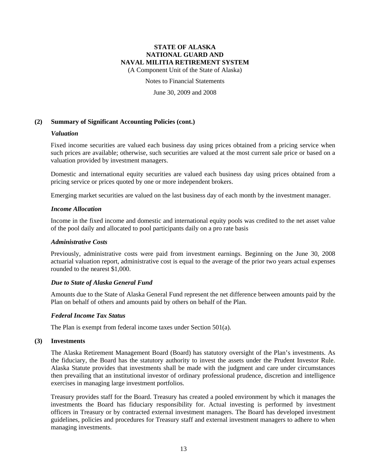(A Component Unit of the State of Alaska)

Notes to Financial Statements

June 30, 2009 and 2008

### **(2) Summary of Significant Accounting Policies (cont.)**

### *Valuation*

Fixed income securities are valued each business day using prices obtained from a pricing service when such prices are available; otherwise, such securities are valued at the most current sale price or based on a valuation provided by investment managers.

Domestic and international equity securities are valued each business day using prices obtained from a pricing service or prices quoted by one or more independent brokers.

Emerging market securities are valued on the last business day of each month by the investment manager.

#### *Income Allocation*

Income in the fixed income and domestic and international equity pools was credited to the net asset value of the pool daily and allocated to pool participants daily on a pro rate basis

#### *Administrative Costs*

Previously, administrative costs were paid from investment earnings. Beginning on the June 30, 2008 actuarial valuation report, administrative cost is equal to the average of the prior two years actual expenses rounded to the nearest \$1,000.

#### *Due to State of Alaska General Fund*

Amounts due to the State of Alaska General Fund represent the net difference between amounts paid by the Plan on behalf of others and amounts paid by others on behalf of the Plan.

#### *Federal Income Tax Status*

The Plan is exempt from federal income taxes under Section 501(a).

#### **(3) Investments**

The Alaska Retirement Management Board (Board) has statutory oversight of the Plan's investments. As the fiduciary, the Board has the statutory authority to invest the assets under the Prudent Investor Rule. Alaska Statute provides that investments shall be made with the judgment and care under circumstances then prevailing that an institutional investor of ordinary professional prudence, discretion and intelligence exercises in managing large investment portfolios.

Treasury provides staff for the Board. Treasury has created a pooled environment by which it manages the investments the Board has fiduciary responsibility for. Actual investing is performed by investment officers in Treasury or by contracted external investment managers. The Board has developed investment guidelines, policies and procedures for Treasury staff and external investment managers to adhere to when managing investments.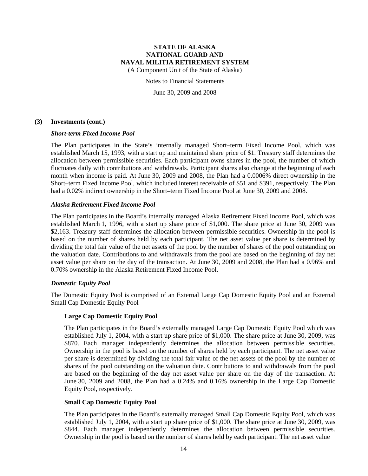(A Component Unit of the State of Alaska)

Notes to Financial Statements

June 30, 2009 and 2008

#### **(3) Investments (cont.)**

#### *Short-term Fixed Income Pool*

The Plan participates in the State's internally managed Short–term Fixed Income Pool, which was established March 15, 1993, with a start up and maintained share price of \$1. Treasury staff determines the allocation between permissible securities. Each participant owns shares in the pool, the number of which fluctuates daily with contributions and withdrawals. Participant shares also change at the beginning of each month when income is paid. At June 30, 2009 and 2008, the Plan had a 0.0006% direct ownership in the Short–term Fixed Income Pool, which included interest receivable of \$51 and \$391, respectively. The Plan had a 0.02% indirect ownership in the Short–term Fixed Income Pool at June 30, 2009 and 2008.

#### *Alaska Retirement Fixed Income Pool*

The Plan participates in the Board's internally managed Alaska Retirement Fixed Income Pool, which was established March 1, 1996, with a start up share price of \$1,000. The share price at June 30, 2009 was \$2,163. Treasury staff determines the allocation between permissible securities. Ownership in the pool is based on the number of shares held by each participant. The net asset value per share is determined by dividing the total fair value of the net assets of the pool by the number of shares of the pool outstanding on the valuation date. Contributions to and withdrawals from the pool are based on the beginning of day net asset value per share on the day of the transaction. At June 30, 2009 and 2008, the Plan had a 0.96% and 0.70% ownership in the Alaska Retirement Fixed Income Pool.

#### *Domestic Equity Pool*

The Domestic Equity Pool is comprised of an External Large Cap Domestic Equity Pool and an External Small Cap Domestic Equity Pool

#### **Large Cap Domestic Equity Pool**

The Plan participates in the Board's externally managed Large Cap Domestic Equity Pool which was established July 1, 2004, with a start up share price of \$1,000. The share price at June 30, 2009, was \$870. Each manager independently determines the allocation between permissible securities. Ownership in the pool is based on the number of shares held by each participant. The net asset value per share is determined by dividing the total fair value of the net assets of the pool by the number of shares of the pool outstanding on the valuation date. Contributions to and withdrawals from the pool are based on the beginning of the day net asset value per share on the day of the transaction. At June 30, 2009 and 2008, the Plan had a 0.24% and 0.16% ownership in the Large Cap Domestic Equity Pool, respectively.

#### **Small Cap Domestic Equity Pool**

The Plan participates in the Board's externally managed Small Cap Domestic Equity Pool, which was established July 1, 2004, with a start up share price of \$1,000. The share price at June 30, 2009, was \$844. Each manager independently determines the allocation between permissible securities. Ownership in the pool is based on the number of shares held by each participant. The net asset value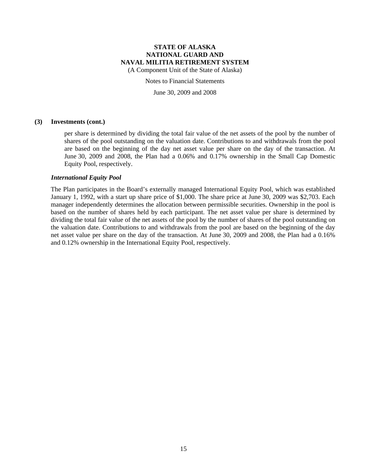(A Component Unit of the State of Alaska)

Notes to Financial Statements

June 30, 2009 and 2008

#### **(3) Investments (cont.)**

per share is determined by dividing the total fair value of the net assets of the pool by the number of shares of the pool outstanding on the valuation date. Contributions to and withdrawals from the pool are based on the beginning of the day net asset value per share on the day of the transaction. At June 30, 2009 and 2008, the Plan had a 0.06% and 0.17% ownership in the Small Cap Domestic Equity Pool, respectively.

#### *International Equity Pool*

The Plan participates in the Board's externally managed International Equity Pool, which was established January 1, 1992, with a start up share price of \$1,000. The share price at June 30, 2009 was \$2,703. Each manager independently determines the allocation between permissible securities. Ownership in the pool is based on the number of shares held by each participant. The net asset value per share is determined by dividing the total fair value of the net assets of the pool by the number of shares of the pool outstanding on the valuation date. Contributions to and withdrawals from the pool are based on the beginning of the day net asset value per share on the day of the transaction. At June 30, 2009 and 2008, the Plan had a 0.16% and 0.12% ownership in the International Equity Pool, respectively.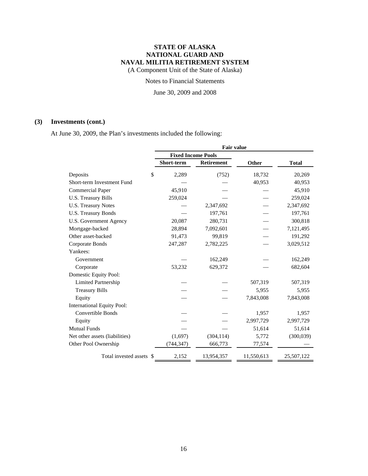(A Component Unit of the State of Alaska)

### Notes to Financial Statements

June 30, 2009 and 2008

## **(3) Investments (cont.)**

At June 30, 2009, the Plan's investments included the following:

|                                   | <b>Fair value</b>         |            |            |              |
|-----------------------------------|---------------------------|------------|------------|--------------|
|                                   | <b>Fixed Income Pools</b> |            |            |              |
|                                   | Short-term                | Retirement | Other      | <b>Total</b> |
| \$<br>Deposits                    | 2,289                     | (752)      | 18,732     | 20,269       |
| Short-term Investment Fund        |                           |            | 40,953     | 40,953       |
| <b>Commercial Paper</b>           | 45,910                    |            |            | 45,910       |
| U.S. Treasury Bills               | 259,024                   |            |            | 259,024      |
| <b>U.S. Treasury Notes</b>        |                           | 2,347,692  |            | 2,347,692    |
| U.S. Treasury Bonds               |                           | 197,761    |            | 197,761      |
| U.S. Government Agency            | 20,087                    | 280,731    |            | 300,818      |
| Mortgage-backed                   | 28,894                    | 7,092,601  |            | 7,121,495    |
| Other asset-backed                | 91,473                    | 99,819     |            | 191,292      |
| Corporate Bonds                   | 247,287                   | 2,782,225  |            | 3,029,512    |
| Yankees:                          |                           |            |            |              |
| Government                        |                           | 162,249    |            | 162,249      |
| Corporate                         | 53,232                    | 629,372    |            | 682,604      |
| Domestic Equity Pool:             |                           |            |            |              |
| <b>Limited Partnership</b>        |                           |            | 507,319    | 507,319      |
| <b>Treasury Bills</b>             |                           |            | 5,955      | 5,955        |
| Equity                            |                           |            | 7,843,008  | 7,843,008    |
| <b>International Equity Pool:</b> |                           |            |            |              |
| <b>Convertible Bonds</b>          |                           |            | 1,957      | 1,957        |
| Equity                            |                           |            | 2,997,729  | 2,997,729    |
| <b>Mutual Funds</b>               |                           |            | 51,614     | 51,614       |
| Net other assets (liabilities)    | (1,697)                   | (304, 114) | 5,772      | (300, 039)   |
| Other Pool Ownership              | (744, 347)                | 666,773    | 77,574     |              |
| Total invested assets \$          | 2,152                     | 13,954,357 | 11,550,613 | 25,507,122   |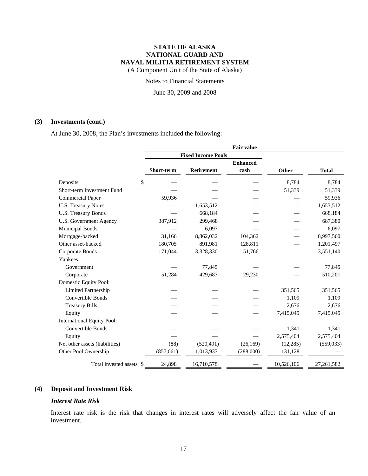(A Component Unit of the State of Alaska)

### Notes to Financial Statements

June 30, 2009 and 2008

### **(3) Investments (cont.)**

At June 30, 2008, the Plan's investments included the following:

|                                   |            |                           | <b>Fair value</b> |            |              |
|-----------------------------------|------------|---------------------------|-------------------|------------|--------------|
|                                   |            | <b>Fixed Income Pools</b> |                   |            |              |
|                                   |            |                           |                   |            |              |
|                                   | Short-term | <b>Retirement</b>         | cash              | Other      | <b>Total</b> |
| \$<br>Deposits                    |            |                           |                   | 8,784      | 8,784        |
| Short-term Investment Fund        |            |                           |                   | 51,339     | 51,339       |
| <b>Commercial Paper</b>           | 59,936     |                           |                   |            | 59,936       |
| <b>U.S. Treasury Notes</b>        |            | 1,653,512                 |                   |            | 1,653,512    |
| <b>U.S. Treasury Bonds</b>        |            | 668,184                   |                   |            | 668,184      |
| U.S. Government Agency            | 387,912    | 299,468                   |                   |            | 687,380      |
| <b>Municipal Bonds</b>            |            | 6,097                     |                   |            | 6,097        |
| Mortgage-backed                   | 31,166     | 8,862,032                 | 104,362           |            | 8,997,560    |
| Other asset-backed                | 180,705    | 891,981                   | 128,811           |            | 1,201,497    |
| Corporate Bonds                   | 171,044    | 3,328,330                 | 51,766            |            | 3,551,140    |
| Yankees:                          |            |                           |                   |            |              |
| Government                        |            | 77,845                    |                   |            | 77,845       |
| Corporate                         | 51,284     | 429,687                   | 29,230            |            | 510,201      |
| Domestic Equity Pool:             |            |                           |                   |            |              |
| <b>Limited Partnership</b>        |            |                           |                   | 351,565    | 351,565      |
| <b>Convertible Bonds</b>          |            |                           |                   | 1,109      | 1,109        |
| <b>Treasury Bills</b>             |            |                           |                   | 2,676      | 2,676        |
| Equity                            |            |                           |                   | 7,415,045  | 7,415,045    |
| <b>International Equity Pool:</b> |            |                           |                   |            |              |
| Convertible Bonds                 |            |                           |                   | 1,341      | 1,341        |
| Equity                            |            |                           |                   | 2,575,404  | 2,575,404    |
| Net other assets (liabilities)    | (88)       | (520, 491)                | (26, 169)         | (12, 285)  | (559, 033)   |
| Other Pool Ownership              | (857,061)  | 1,013,933                 | (288,000)         | 131,128    |              |
| Total invested assets \$          | 24,898     | 16,710,578                |                   | 10,526,106 | 27,261,582   |

### **(4) Deposit and Investment Risk**

### *Interest Rate Risk*

Interest rate risk is the risk that changes in interest rates will adversely affect the fair value of an investment.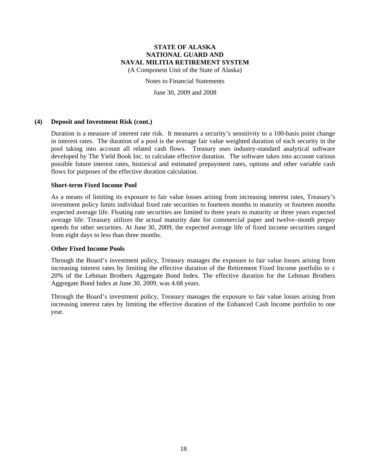(A Component Unit of the State of Alaska)

Notes to Financial Statements

June 30, 2009 and 2008

#### **(4) Deposit and Investment Risk (cont.)**

Duration is a measure of interest rate risk. It measures a security's sensitivity to a 100-basis point change in interest rates. The duration of a pool is the average fair value weighted duration of each security in the pool taking into account all related cash flows. Treasury uses industry-standard analytical software developed by The Yield Book Inc. to calculate effective duration. The software takes into account various possible future interest rates, historical and estimated prepayment rates, options and other variable cash flows for purposes of the effective duration calculation.

### **Short-term Fixed Income Pool**

As a means of limiting its exposure to fair value losses arising from increasing interest rates, Treasury's investment policy limits individual fixed rate securities to fourteen months to maturity or fourteen months expected average life. Floating rate securities are limited to three years to maturity or three years expected average life. Treasury utilizes the actual maturity date for commercial paper and twelve–month prepay speeds for other securities. At June 30, 2009, the expected average life of fixed income securities ranged from eight days to less than three months.

#### **Other Fixed Income Pools**

Through the Board's investment policy, Treasury manages the exposure to fair value losses arising from increasing interest rates by limiting the effective duration of the Retirement Fixed Income portfolio to  $\pm$ 20% of the Lehman Brothers Aggregate Bond Index. The effective duration for the Lehman Brothers Aggregate Bond Index at June 30, 2009, was 4.68 years.

Through the Board's investment policy, Treasury manages the exposure to fair value losses arising from increasing interest rates by limiting the effective duration of the Enhanced Cash Income portfolio to one year.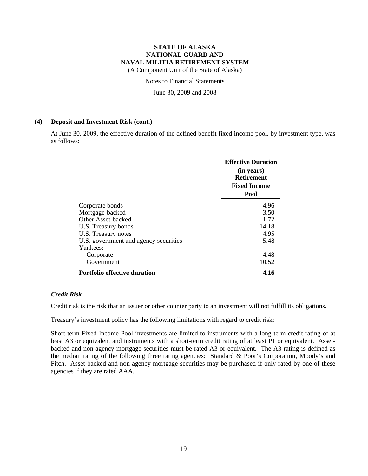(A Component Unit of the State of Alaska)

Notes to Financial Statements

June 30, 2009 and 2008

#### **(4) Deposit and Investment Risk (cont.)**

At June 30, 2009, the effective duration of the defined benefit fixed income pool, by investment type, was as follows:

|                                       | <b>Effective Duration</b><br>(in years) |
|---------------------------------------|-----------------------------------------|
|                                       | <b>Retirement</b>                       |
|                                       | <b>Fixed Income</b>                     |
|                                       | Pool                                    |
| Corporate bonds                       | 4.96                                    |
| Mortgage-backed                       | 3.50                                    |
| Other Asset-backed                    | 1.72                                    |
| U.S. Treasury bonds                   | 14.18                                   |
| U.S. Treasury notes                   | 4.95                                    |
| U.S. government and agency securities | 5.48                                    |
| Yankees:                              |                                         |
| Corporate                             | 4.48                                    |
| Government                            | 10.52                                   |
| <b>Portfolio effective duration</b>   | 4.16                                    |

#### *Credit Risk*

Credit risk is the risk that an issuer or other counter party to an investment will not fulfill its obligations.

Treasury's investment policy has the following limitations with regard to credit risk:

Short-term Fixed Income Pool investments are limited to instruments with a long-term credit rating of at least A3 or equivalent and instruments with a short-term credit rating of at least P1 or equivalent. Assetbacked and non-agency mortgage securities must be rated A3 or equivalent. The A3 rating is defined as the median rating of the following three rating agencies: Standard & Poor's Corporation, Moody's and Fitch. Asset-backed and non-agency mortgage securities may be purchased if only rated by one of these agencies if they are rated AAA.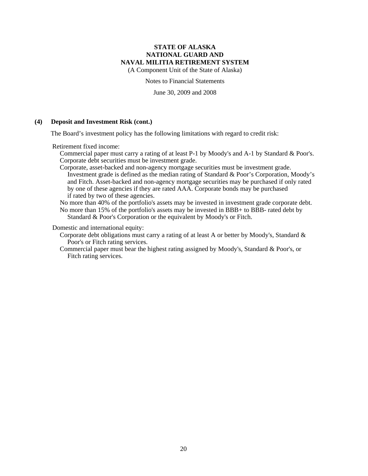(A Component Unit of the State of Alaska)

Notes to Financial Statements

June 30, 2009 and 2008

## **(4) Deposit and Investment Risk (cont.)**

The Board's investment policy has the following limitations with regard to credit risk:

Retirement fixed income:

Commercial paper must carry a rating of at least P-1 by Moody's and A-1 by Standard & Poor's. Corporate debt securities must be investment grade.

Corporate, asset-backed and non-agency mortgage securities must be investment grade. Investment grade is defined as the median rating of Standard & Poor's Corporation, Moody's and Fitch. Asset-backed and non-agency mortgage securities may be purchased if only rated by one of these agencies if they are rated AAA. Corporate bonds may be purchased if rated by two of these agencies.

No more than 40% of the portfolio's assets may be invested in investment grade corporate debt. No more than 15% of the portfolio's assets may be invested in BBB+ to BBB- rated debt by Standard & Poor's Corporation or the equivalent by Moody's or Fitch.

Domestic and international equity:

Corporate debt obligations must carry a rating of at least A or better by Moody's, Standard & Poor's or Fitch rating services.

Commercial paper must bear the highest rating assigned by Moody's, Standard & Poor's, or Fitch rating services.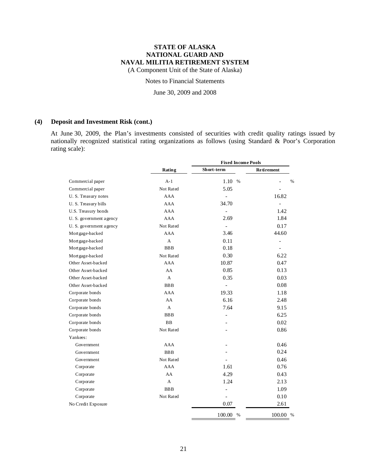(A Component Unit of the State of Alaska)

### Notes to Financial Statements

June 30, 2009 and 2008

### **(4) Deposit and Investment Risk (cont.)**

At June 30, 2009, the Plan's investments consisted of securities with credit quality ratings issued by nationally recognized statistical rating organizations as follows (using Standard & Poor's Corporation rating scale):

|                         |            | <b>Fixed Income Pools</b> |                          |  |  |
|-------------------------|------------|---------------------------|--------------------------|--|--|
|                         | Rating     | Short-term                | <b>Retirement</b>        |  |  |
| Commercial paper        | $A-1$      | 1.10 %                    | $\frac{0}{0}$            |  |  |
| Commercial paper        | Not Rated  | 5.05                      |                          |  |  |
| U.S. Treasury notes     | AAA        | $\overline{\phantom{0}}$  | 16.82                    |  |  |
| U.S. Treasury bills     | AAA        | 34.70                     |                          |  |  |
| U.S. Treasury bonds     | AAA        |                           | 1.42                     |  |  |
| U. S. government agency | AAA        | 2.69                      | 1.84                     |  |  |
| U. S. government agency | Not Rated  |                           | 0.17                     |  |  |
| Mort gage-backed        | AAA        | 3.46                      | 44.60                    |  |  |
| Mortgage-backed         | A          | 0.11                      | $\overline{\phantom{0}}$ |  |  |
| Mortgage-backed         | <b>BBB</b> | 0.18                      | $\overline{\phantom{a}}$ |  |  |
| Mort gage-backed        | Not Rated  | 0.30                      | 6.22                     |  |  |
| Other Asset-backed      | AAA        | 10.87                     | 0.47                     |  |  |
| Other Asset-backed      | AA         | 0.85                      | 0.13                     |  |  |
| Other Asset-backed      | A          | 0.35                      | 0.03                     |  |  |
| Other Asset-backed      | <b>BBB</b> | $\overline{\phantom{0}}$  | 0.08                     |  |  |
| Corporate bonds         | AAA        | 19.33                     | 1.18                     |  |  |
| Corporate bonds         | AA         | 6.16                      | 2.48                     |  |  |
| Corporate bonds         | A          | 7.64                      | 9.15                     |  |  |
| Corporate bonds         | <b>BBB</b> | $\overline{a}$            | 6.25                     |  |  |
| Corporate bonds         | <b>BB</b>  |                           | 0.02                     |  |  |
| Corporate bonds         | Not Rated  |                           | 0.86                     |  |  |
| Yankees:                |            |                           |                          |  |  |
| Government              | AAA        |                           | 0.46                     |  |  |
| Government              | <b>BBB</b> |                           | 0.24                     |  |  |
| Government              | Not Rated  |                           | 0.46                     |  |  |
| Corporate               | AAA        | 1.61                      | 0.76                     |  |  |
| Corporate               | AA         | 4.29                      | 0.43                     |  |  |
| Corporate               | A          | 1.24                      | 2.13                     |  |  |
| Corporate               | <b>BBB</b> | $\frac{1}{2}$             | 1.09                     |  |  |
| Corporate               | Not Rated  | $\frac{1}{2}$             | 0.10                     |  |  |
| No Credit Exposure      |            | 0.07                      | 2.61                     |  |  |
|                         |            | 100.00 %                  | 100.00 %                 |  |  |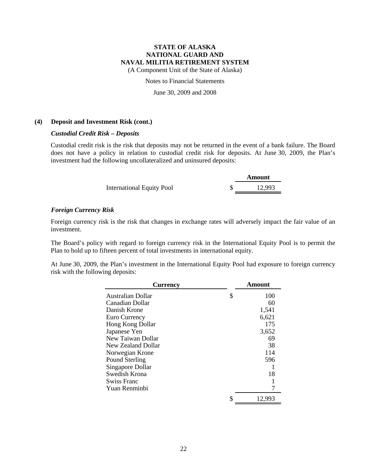(A Component Unit of the State of Alaska)

Notes to Financial Statements

June 30, 2009 and 2008

### **(4) Deposit and Investment Risk (cont.)**

### *Custodial Credit Risk – Deposits*

Custodial credit risk is the risk that deposits may not be returned in the event of a bank failure. The Board does not have a policy in relation to custodial credit risk for deposits. At June 30, 2009, the Plan's investment had the following uncollateralized and uninsured deposits:

|                                  | Amount |
|----------------------------------|--------|
| <b>International Equity Pool</b> | 12,993 |

### *Foreign Currency Risk*

Foreign currency risk is the risk that changes in exchange rates will adversely impact the fair value of an investment.

The Board's policy with regard to foreign currency risk in the International Equity Pool is to permit the Plan to hold up to fifteen percent of total investments in international equity.

At June 30, 2009, the Plan's investment in the International Equity Pool had exposure to foreign currency risk with the following deposits:

| <b>Currency</b>       | Amount       |
|-----------------------|--------------|
| Australian Dollar     | \$<br>100    |
| Canadian Dollar       | 60           |
| Danish Krone          | 1,541        |
| Euro Currency         | 6,621        |
| Hong Kong Dollar      | 175          |
| Japanese Yen          | 3,652        |
| New Taiwan Dollar     | 69           |
| New Zealand Dollar    | 38           |
| Norwegian Krone       | 114          |
| <b>Pound Sterling</b> | 596          |
| Singapore Dollar      |              |
| Swedish Krona         | 18           |
| Swiss Franc           |              |
| Yuan Renminbi         |              |
|                       | \$<br>12,993 |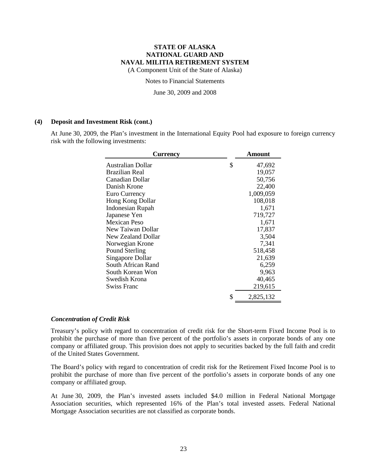(A Component Unit of the State of Alaska)

Notes to Financial Statements

June 30, 2009 and 2008

#### **(4) Deposit and Investment Risk (cont.)**

At June 30, 2009, the Plan's investment in the International Equity Pool had exposure to foreign currency risk with the following investments:

| <b>Currency</b>    | Amount          |
|--------------------|-----------------|
| Australian Dollar  | \$<br>47,692    |
| Brazilian Real     | 19,057          |
| Canadian Dollar    | 50,756          |
| Danish Krone       | 22,400          |
| Euro Currency      | 1,009,059       |
| Hong Kong Dollar   | 108,018         |
| Indonesian Rupah   | 1,671           |
| Japanese Yen       | 719,727         |
| Mexican Peso       | 1,671           |
| New Taiwan Dollar  | 17,837          |
| New Zealand Dollar | 3,504           |
| Norwegian Krone    | 7,341           |
| Pound Sterling     | 518,458         |
| Singapore Dollar   | 21,639          |
| South African Rand | 6,259           |
| South Korean Won   | 9,963           |
| Swedish Krona      | 40,465          |
| Swiss Franc        | 219,615         |
|                    | \$<br>2,825,132 |

#### *Concentration of Credit Risk*

Treasury's policy with regard to concentration of credit risk for the Short-term Fixed Income Pool is to prohibit the purchase of more than five percent of the portfolio's assets in corporate bonds of any one company or affiliated group. This provision does not apply to securities backed by the full faith and credit of the United States Government.

The Board's policy with regard to concentration of credit risk for the Retirement Fixed Income Pool is to prohibit the purchase of more than five percent of the portfolio's assets in corporate bonds of any one company or affiliated group.

At June 30, 2009, the Plan's invested assets included \$4.0 million in Federal National Mortgage Association securities, which represented 16% of the Plan's total invested assets. Federal National Mortgage Association securities are not classified as corporate bonds.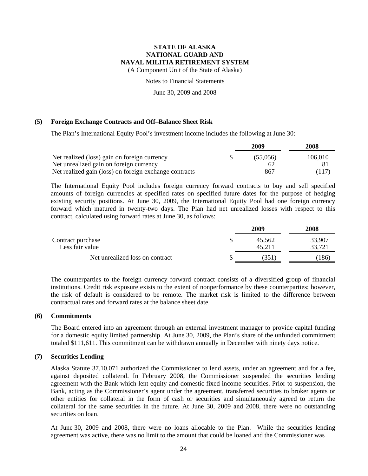(A Component Unit of the State of Alaska)

Notes to Financial Statements

June 30, 2009 and 2008

### **(5) Foreign Exchange Contracts and Off–Balance Sheet Risk**

The Plan's International Equity Pool's investment income includes the following at June 30:

|                                                        | 2009     | 2008    |  |
|--------------------------------------------------------|----------|---------|--|
| Net realized (loss) gain on foreign currency           | (55.056) | 106,010 |  |
| Net unrealized gain on foreign currency                | 62       |         |  |
| Net realized gain (loss) on foreign exchange contracts | 867      | (117)   |  |

The International Equity Pool includes foreign currency forward contracts to buy and sell specified amounts of foreign currencies at specified rates on specified future dates for the purpose of hedging existing security positions. At June 30, 2009, the International Equity Pool had one foreign currency forward which matured in twenty-two days. The Plan had net unrealized losses with respect to this contract, calculated using forward rates at June 30, as follows:

|                                      |  | <b>2008</b>      |                  |
|--------------------------------------|--|------------------|------------------|
| Contract purchase<br>Less fair value |  | 45.562<br>45.211 | 33,907<br>33,721 |
| Net unrealized loss on contract      |  | (351             | 186              |

The counterparties to the foreign currency forward contract consists of a diversified group of financial institutions. Credit risk exposure exists to the extent of nonperformance by these counterparties; however, the risk of default is considered to be remote. The market risk is limited to the difference between contractual rates and forward rates at the balance sheet date.

#### **(6) Commitments**

The Board entered into an agreement through an external investment manager to provide capital funding for a domestic equity limited partnership. At June 30, 2009, the Plan's share of the unfunded commitment totaled \$111,611. This commitment can be withdrawn annually in December with ninety days notice.

#### **(7) Securities Lending**

Alaska Statute 37.10.071 authorized the Commissioner to lend assets, under an agreement and for a fee, against deposited collateral. In February 2008, the Commissioner suspended the securities lending agreement with the Bank which lent equity and domestic fixed income securities. Prior to suspension, the Bank, acting as the Commissioner's agent under the agreement, transferred securities to broker agents or other entities for collateral in the form of cash or securities and simultaneously agreed to return the collateral for the same securities in the future. At June 30, 2009 and 2008, there were no outstanding securities on loan.

At June 30, 2009 and 2008, there were no loans allocable to the Plan. While the securities lending agreement was active, there was no limit to the amount that could be loaned and the Commissioner was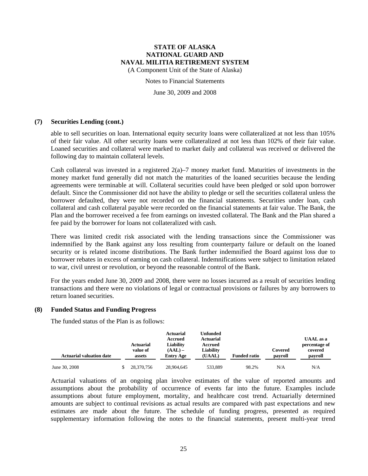(A Component Unit of the State of Alaska)

Notes to Financial Statements

June 30, 2009 and 2008

### **(7) Securities Lending (cont.)**

able to sell securities on loan. International equity security loans were collateralized at not less than 105% of their fair value. All other security loans were collateralized at not less than 102% of their fair value. Loaned securities and collateral were marked to market daily and collateral was received or delivered the following day to maintain collateral levels.

Cash collateral was invested in a registered  $2(a)$ –7 money market fund. Maturities of investments in the money market fund generally did not match the maturities of the loaned securities because the lending agreements were terminable at will. Collateral securities could have been pledged or sold upon borrower default. Since the Commissioner did not have the ability to pledge or sell the securities collateral unless the borrower defaulted, they were not recorded on the financial statements. Securities under loan, cash collateral and cash collateral payable were recorded on the financial statements at fair value. The Bank, the Plan and the borrower received a fee from earnings on invested collateral. The Bank and the Plan shared a fee paid by the borrower for loans not collateralized with cash.

There was limited credit risk associated with the lending transactions since the Commissioner was indemnified by the Bank against any loss resulting from counterparty failure or default on the loaned security or is related income distributions. The Bank further indemnified the Board against loss due to borrower rebates in excess of earning on cash collateral. Indemnifications were subject to limitation related to war, civil unrest or revolution, or beyond the reasonable control of the Bank.

For the years ended June 30, 2009 and 2008, there were no losses incurred as a result of securities lending transactions and there were no violations of legal or contractual provisions or failures by any borrowers to return loaned securities.

#### **(8) Funded Status and Funding Progress**

The funded status of the Plan is as follows:

| <b>Actuarial valuation date</b> | Actuarial<br>value of<br>assets | Actuarial<br>Accrued<br>Liability<br>$(AAL)$ –<br><b>Entry Age</b> | Unfunded<br><b>Actuarial</b><br>Accrued<br>Liability<br>(UAAL) | <b>Funded ratio</b> | Covered<br>payroll | <b>UAAL</b> as a<br>percentage of<br>covered<br>payroll |
|---------------------------------|---------------------------------|--------------------------------------------------------------------|----------------------------------------------------------------|---------------------|--------------------|---------------------------------------------------------|
| June 30, 2008                   | 28,370,756                      | 28,904,645                                                         | 533.889                                                        | 98.2%               | N/A                | N/A                                                     |

Actuarial valuations of an ongoing plan involve estimates of the value of reported amounts and assumptions about the probability of occurrence of events far into the future. Examples include assumptions about future employment, mortality, and healthcare cost trend. Actuarially determined amounts are subject to continual revisions as actual results are compared with past expectations and new estimates are made about the future. The schedule of funding progress, presented as required supplementary information following the notes to the financial statements, present multi-year trend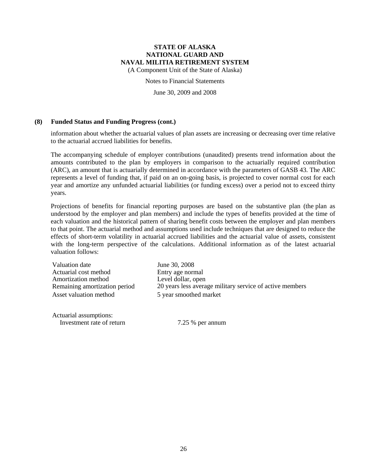(A Component Unit of the State of Alaska)

Notes to Financial Statements

June 30, 2009 and 2008

#### **(8) Funded Status and Funding Progress (cont.)**

information about whether the actuarial values of plan assets are increasing or decreasing over time relative to the actuarial accrued liabilities for benefits.

The accompanying schedule of employer contributions (unaudited) presents trend information about the amounts contributed to the plan by employers in comparison to the actuarially required contribution (ARC), an amount that is actuarially determined in accordance with the parameters of GASB 43. The ARC represents a level of funding that, if paid on an on-going basis, is projected to cover normal cost for each year and amortize any unfunded actuarial liabilities (or funding excess) over a period not to exceed thirty years.

Projections of benefits for financial reporting purposes are based on the substantive plan (the plan as understood by the employer and plan members) and include the types of benefits provided at the time of each valuation and the historical pattern of sharing benefit costs between the employer and plan members to that point. The actuarial method and assumptions used include techniques that are designed to reduce the effects of short-term volatility in actuarial accrued liabilities and the actuarial value of assets, consistent with the long-term perspective of the calculations. Additional information as of the latest actuarial valuation follows:

Valuation date June 30, 2008 Actuarial cost method<br>
Amortization method<br>
Level dollar, open Amortization method Asset valuation method 5 year smoothed market

Actuarial assumptions: Investment rate of return 7.25 % per annum

Remaining amortization period 20 years less average military service of active members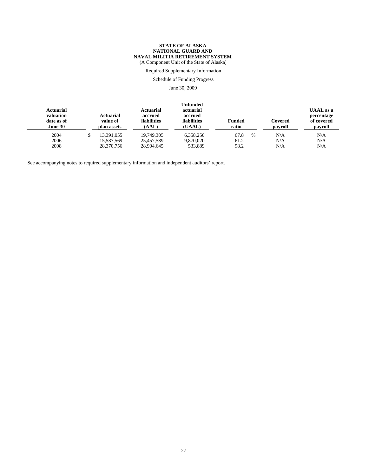(A Component Unit of the State of Alaska)

Required Supplementary Information

Schedule of Funding Progress

June 30, 2009

| Actuarial<br>valuation<br>date as of<br>June 30 | <b>Actuarial</b><br>value of<br>plan assets | Actuarial<br>accrued<br><b>liabilities</b><br>(AAL) | Unfunded<br>actuarial<br>accrued<br><b>liabilities</b><br>(UAAL) | <b>Funded</b><br>ratio | Covered<br>payroll | <b>UAAL</b> as a<br>percentage<br>of covered<br>payroll |
|-------------------------------------------------|---------------------------------------------|-----------------------------------------------------|------------------------------------------------------------------|------------------------|--------------------|---------------------------------------------------------|
| 2004                                            | 13.391.055                                  | 19.749.305                                          | 6,358,250                                                        | 67.8<br>$\frac{0}{0}$  | N/A                | N/A                                                     |
| 2006                                            | 15,587,569                                  | 25,457,589                                          | 9.870.020                                                        | 61.2                   | N/A                | N/A                                                     |
| 2008                                            | 28,370,756                                  | 28,904,645                                          | 533,889                                                          | 98.2                   | N/A                | N/A                                                     |

See accompanying notes to required supplementary information and independent auditors' report.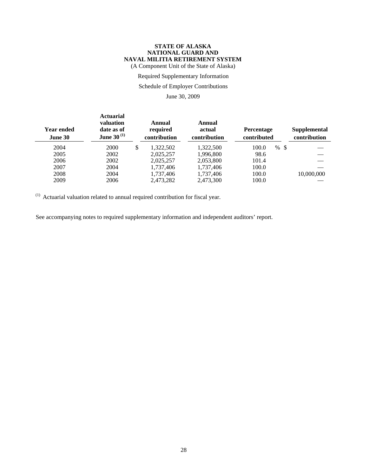#### **STATE OF ALASKA NATIONAL GUARD AND NAVAL MILITIA RETIREMENT SYSTEM** (A Component Unit of the State of Alaska)

Required Supplementary Information

# Schedule of Employer Contributions

June 30, 2009

| <b>Year ended</b><br>June 30 | <b>Actuarial</b><br>valuation<br>date as of<br><b>June 30</b> <sup>(1)</sup> | Annual<br>required<br>contribution | Annual<br>actual<br>contribution | Percentage<br>contributed |      | Supplemental<br>contribution |
|------------------------------|------------------------------------------------------------------------------|------------------------------------|----------------------------------|---------------------------|------|------------------------------|
| 2004                         | 2000                                                                         | \$<br>1,322,502                    | 1,322,500                        | 100.0<br>$\%$             | - \$ |                              |
| 2005                         | 2002                                                                         | 2,025,257                          | 1,996,800                        | 98.6                      |      |                              |
| 2006                         | 2002                                                                         | 2,025,257                          | 2,053,800                        | 101.4                     |      |                              |
| 2007                         | 2004                                                                         | 1,737,406                          | 1,737,406                        | 100.0                     |      |                              |
| 2008                         | 2004                                                                         | 1,737,406                          | 1,737,406                        | 100.0                     |      | 10,000,000                   |
| 2009                         | 2006                                                                         | 2,473,282                          | 2,473,300                        | 100.0                     |      |                              |

 $(1)$  Actuarial valuation related to annual required contribution for fiscal year.

See accompanying notes to required supplementary information and independent auditors' report.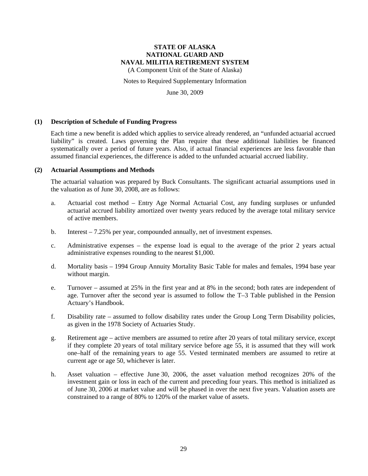(A Component Unit of the State of Alaska)

Notes to Required Supplementary Information

June 30, 2009

#### **(1) Description of Schedule of Funding Progress**

Each time a new benefit is added which applies to service already rendered, an "unfunded actuarial accrued liability" is created. Laws governing the Plan require that these additional liabilities be financed systematically over a period of future years. Also, if actual financial experiences are less favorable than assumed financial experiences, the difference is added to the unfunded actuarial accrued liability.

#### **(2) Actuarial Assumptions and Methods**

The actuarial valuation was prepared by Buck Consultants. The significant actuarial assumptions used in the valuation as of June 30, 2008, are as follows:

- a. Actuarial cost method Entry Age Normal Actuarial Cost, any funding surpluses or unfunded actuarial accrued liability amortized over twenty years reduced by the average total military service of active members.
- b. Interest 7.25% per year, compounded annually, net of investment expenses.
- c. Administrative expenses the expense load is equal to the average of the prior 2 years actual administrative expenses rounding to the nearest \$1,000.
- d. Mortality basis 1994 Group Annuity Mortality Basic Table for males and females, 1994 base year without margin.
- e. Turnover assumed at 25% in the first year and at 8% in the second; both rates are independent of age. Turnover after the second year is assumed to follow the T–3 Table published in the Pension Actuary's Handbook.
- f. Disability rate assumed to follow disability rates under the Group Long Term Disability policies, as given in the 1978 Society of Actuaries Study.
- g. Retirement age active members are assumed to retire after 20 years of total military service, except if they complete 20 years of total military service before age 55, it is assumed that they will work one–half of the remaining years to age 55. Vested terminated members are assumed to retire at current age or age 50, whichever is later.
- h. Asset valuation effective June 30, 2006, the asset valuation method recognizes 20% of the investment gain or loss in each of the current and preceding four years. This method is initialized as of June 30, 2006 at market value and will be phased in over the next five years. Valuation assets are constrained to a range of 80% to 120% of the market value of assets.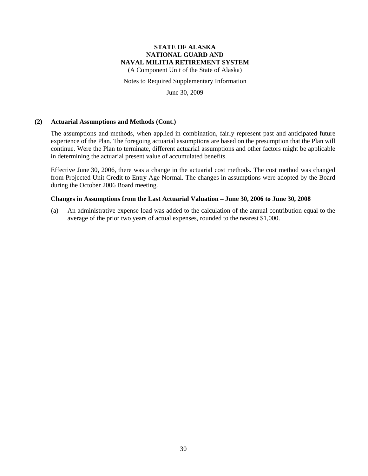(A Component Unit of the State of Alaska)

Notes to Required Supplementary Information

June 30, 2009

### **(2) Actuarial Assumptions and Methods (Cont.)**

The assumptions and methods, when applied in combination, fairly represent past and anticipated future experience of the Plan. The foregoing actuarial assumptions are based on the presumption that the Plan will continue. Were the Plan to terminate, different actuarial assumptions and other factors might be applicable in determining the actuarial present value of accumulated benefits.

Effective June 30, 2006, there was a change in the actuarial cost methods. The cost method was changed from Projected Unit Credit to Entry Age Normal. The changes in assumptions were adopted by the Board during the October 2006 Board meeting.

#### **Changes in Assumptions from the Last Actuarial Valuation – June 30, 2006 to June 30, 2008**

(a) An administrative expense load was added to the calculation of the annual contribution equal to the average of the prior two years of actual expenses, rounded to the nearest \$1,000.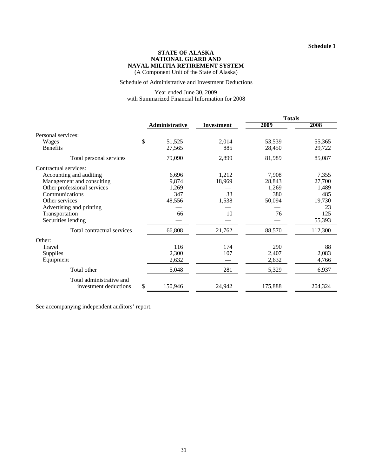#### **STATE OF ALASKA NATIONAL GUARD AND NAVAL MILITIA RETIREMENT SYSTEM** (A Component Unit of the State of Alaska)

#### Schedule of Administrative and Investment Deductions

#### Year ended June 30, 2009 with Summarized Financial Information for 2008

|                             |                |                   | <b>Totals</b> |         |  |
|-----------------------------|----------------|-------------------|---------------|---------|--|
|                             | Administrative | <b>Investment</b> | 2009          | 2008    |  |
| Personal services:          |                |                   |               |         |  |
| Wages                       | \$<br>51,525   | 2,014             | 53,539        | 55,365  |  |
| <b>Benefits</b>             | 27,565         | 885               | 28,450        | 29,722  |  |
| Total personal services     | 79,090         | 2,899             | 81,989        | 85,087  |  |
| Contractual services:       |                |                   |               |         |  |
| Accounting and auditing     | 6,696          | 1,212             | 7,908         | 7,355   |  |
| Management and consulting   | 9,874          | 18,969            | 28,843        | 27,700  |  |
| Other professional services | 1,269          |                   | 1,269         | 1,489   |  |
| Communications              | 347            | 33                | 380           | 485     |  |
| Other services              | 48,556         | 1,538             | 50,094        | 19,730  |  |
| Advertising and printing    |                |                   |               | 23      |  |
| Transportation              | 66             | 10                | 76            | 125     |  |
| Securities lending          |                |                   |               | 55,393  |  |
| Total contractual services  | 66,808         | 21,762            | 88,570        | 112,300 |  |
| Other:                      |                |                   |               |         |  |
| Travel                      | 116            | 174               | 290           | 88      |  |
| Supplies                    | 2,300          | 107               | 2,407         | 2,083   |  |
| Equipment                   | 2,632          |                   | 2,632         | 4,766   |  |
| Total other                 | 5,048          | 281               | 5,329         | 6,937   |  |
| Total administrative and    |                |                   |               |         |  |
| investment deductions       | \$<br>150,946  | 24,942            | 175,888       | 204,324 |  |

See accompanying independent auditors' report.